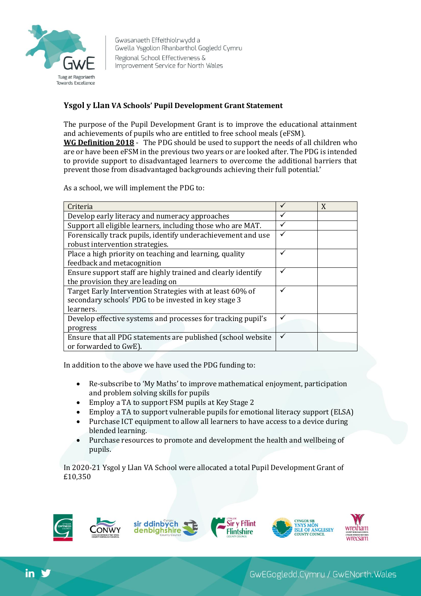

Gwasanaeth Effeithiolrwydd a Gwella Ysgolion Rhanbarthol Gogledd Cymru Regional School Effectiveness & Improvement Service for North Wales

## **Ysgol y Llan VA Schools' Pupil Development Grant Statement**

The purpose of the Pupil Development Grant is to improve the educational attainment and achievements of pupils who are entitled to free school meals (eFSM).

**WG Definition 2018** - The PDG should be used to support the needs of all children who are or have been eFSM in the previous two years or are looked after. The PDG is intended to provide support to disadvantaged learners to overcome the additional barriers that prevent those from disadvantaged backgrounds achieving their full potential.'

As a school, we will implement the PDG to:

| Criteria                                                     |   | X |
|--------------------------------------------------------------|---|---|
| Develop early literacy and numeracy approaches               |   |   |
| Support all eligible learners, including those who are MAT.  |   |   |
| Forensically track pupils, identify underachievement and use |   |   |
| robust intervention strategies.                              |   |   |
| Place a high priority on teaching and learning, quality      |   |   |
| feedback and metacognition                                   |   |   |
| Ensure support staff are highly trained and clearly identify |   |   |
| the provision they are leading on                            |   |   |
| Target Early Intervention Strategies with at least 60% of    | ✓ |   |
| secondary schools' PDG to be invested in key stage 3         |   |   |
| learners.                                                    |   |   |
| Develop effective systems and processes for tracking pupil's |   |   |
| progress                                                     |   |   |
| Ensure that all PDG statements are published (school website |   |   |
| or forwarded to GwE).                                        |   |   |

In addition to the above we have used the PDG funding to:

- Re-subscribe to 'My Maths' to improve mathematical enjoyment, participation and problem solving skills for pupils
- Employ a TA to support FSM pupils at Key Stage 2
- Employ a TA to support vulnerable pupils for emotional literacy support (ELSA)
- Purchase ICT equipment to allow all learners to have access to a device during blended learning.
- Purchase resources to promote and development the health and wellbeing of pupils.

In 2020-21 Ysgol y Llan VA School were allocated a total Pupil Development Grant of £10,350